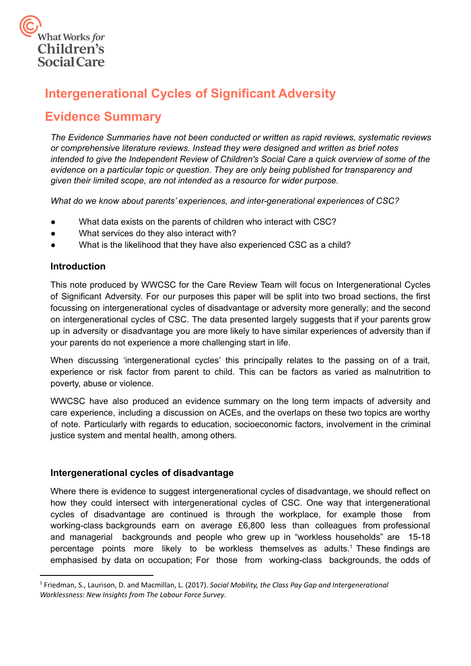

# **Intergenerational Cycles of Significant Adversity**

## **Evidence Summary**

*The Evidence Summaries have not been conducted or written as rapid reviews, systematic reviews or comprehensive literature reviews. Instead they were designed and written as brief notes intended to give the Independent Review of Children's Social Care a quick overview of some of the evidence on a particular topic or question. They are only being published for transparency and given their limited scope, are not intended as a resource for wider purpose.*

*What do we know about parents' experiences, and inter-generational experiences of CSC?*

- What data exists on the parents of children who interact with CSC?
- What services do they also interact with?
- What is the likelihood that they have also experienced CSC as a child?

## **Introduction**

This note produced by WWCSC for the Care Review Team will focus on Intergenerational Cycles of Significant Adversity. For our purposes this paper will be split into two broad sections, the first focussing on intergenerational cycles of disadvantage or adversity more generally; and the second on intergenerational cycles of CSC. The data presented largely suggests that if your parents grow up in adversity or disadvantage you are more likely to have similar experiences of adversity than if your parents do not experience a more challenging start in life.

When discussing 'intergenerational cycles' this principally relates to the passing on of a trait, experience or risk factor from parent to child. This can be factors as varied as malnutrition to poverty, abuse or violence.

WWCSC have also produced an evidence summary on the long term impacts of adversity and care experience, including a discussion on ACEs, and the overlaps on these two topics are worthy of note. Particularly with regards to education, socioeconomic factors, involvement in the criminal justice system and mental health, among others.

## **Intergenerational cycles of disadvantage**

Where there is evidence to suggest intergenerational cycles of disadvantage, we should reflect on how they could intersect with intergenerational cycles of CSC. One way that intergenerational cycles of disadvantage are continued is through the workplace, for example those from working-class backgrounds earn on average £6,800 less than colleagues from professional and managerial backgrounds and people who grew up in "workless households" are 15-18 percentage points more likely to be workless themselves as adults.<sup>1</sup> These findings are emphasised by data on occupation; For those from working-class backgrounds, the odds of

<sup>1</sup> Friedman, S., Laurison, D. and Macmillan, L. (2017). *Social Mobility, the Class Pay Gap and Intergenerational Worklessness: New Insights from The Labour Force Survey*.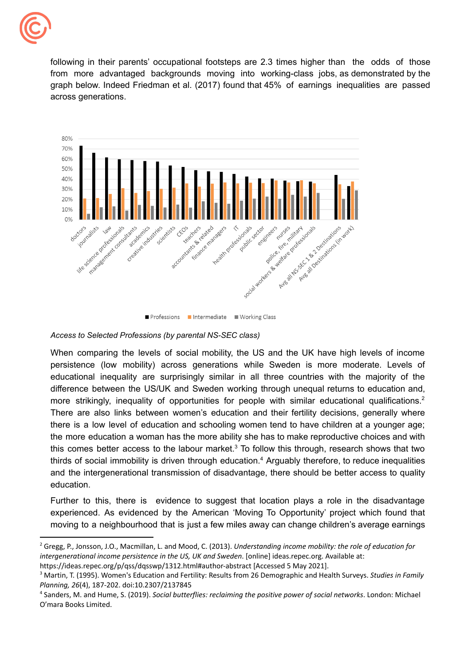

following in their parents' occupational footsteps are 2.3 times higher than the odds of those from more advantaged backgrounds moving into working-class jobs, as demonstrated by the graph below. Indeed Friedman et al. (2017) found that 45% of earnings inequalities are passed across generations.



<sup>■</sup> Professions ■ Intermediate ■ Working Class

#### *Access to Selected Professions (by parental NS-SEC class)*

When comparing the levels of social mobility, the US and the UK have high levels of income persistence (low mobility) across generations while Sweden is more moderate. Levels of educational inequality are surprisingly similar in all three countries with the majority of the difference between the US/UK and Sweden working through unequal returns to education and, more strikingly, inequality of opportunities for people with similar educational qualifications.<sup>2</sup> There are also links between women's education and their fertility decisions, generally where there is a low level of education and schooling women tend to have children at a younger age; the more education a woman has the more ability she has to make reproductive choices and with this comes better access to the labour market. $3$  To follow this through, research shows that two thirds of social immobility is driven through education.<sup>4</sup> Arguably therefore, to reduce inequalities and the intergenerational transmission of disadvantage, there should be better access to quality education.

Further to this, there is evidence to suggest that location plays a role in the disadvantage experienced. As evidenced by the American 'Moving To Opportunity' project which found that moving to a neighbourhood that is just a few miles away can change children's average earnings

 <sup>2</sup> Gregg, P., Jonsson, J.O., Macmillan, L. and Mood, C. (2013). *Understanding income mobility: the role of education for intergenerational income persistence in the US, UK and Sweden*. [online] [ideas.repec.org.](https://ideas.repec.org) Available at: <https://ideas.repec.org/p/qss/dqsswp/1312.html#author-abstract> [Accessed 5 May 2021].

 <sup>3</sup> Martin, T. (1995). Women's Education and Fertility: Results from 26 Demographic and Health Surveys. *Studies in Family Planning, 26*(4), 187-202. doi:10.2307/2137845

 <sup>4</sup> Sanders, M. and Hume, S. (2019). *Social butterflies: reclaiming the positive power of social networks*. London: Michael O'mara Books Limited.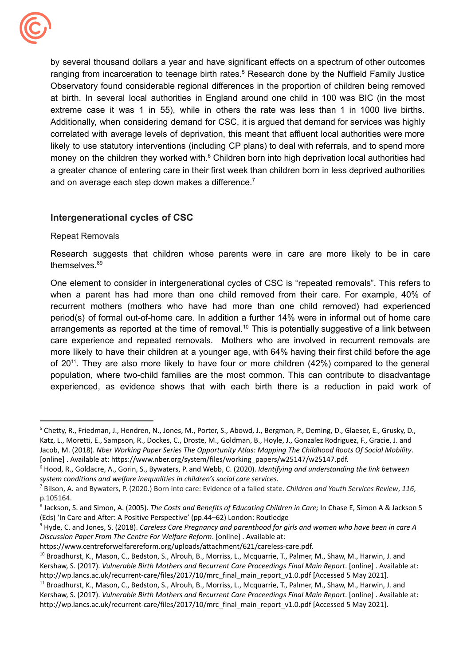

and on average each step down makes a difference.<sup>7</sup> by several thousand dollars a year and have significant effects on a spectrum of other outcomes ranging from incarceration to teenage birth rates.<sup>5</sup> Research done by the Nuffield Family Justice Observatory found considerable regional differences in the proportion of children being removed at birth. In several local authorities in England around one child in 100 was BIC (in the most extreme case it was 1 in 55), while in others the rate was less than 1 in 1000 live births. Additionally, when considering demand for CSC, it is argued that demand for services was highly correlated with average levels of deprivation, this meant that affluent local authorities were more likely to use statutory interventions (including CP plans) to deal with referrals, and to spend more money on the children they worked with. $6$  Children born into high deprivation local authorities had a greater chance of entering care in their first week than children born in less deprived authorities

## **Intergenerational cycles of CSC**

#### Repeat Removals

Research suggests that children whose parents were in care are more likely to be in care themselves.<sup>89</sup>

One element to consider in intergenerational cycles of CSC is "repeated removals". This refers to when a parent has had more than one child removed from their care. For example, 40% of recurrent mothers (mothers who have had more than one child removed) had experienced period(s) of formal out-of-home care. In addition a further 14% were in informal out of home care arrangements as reported at the time of removal.<sup>10</sup> This is potentially suggestive of a link between care experience and repeated removals. Mothers who are involved in recurrent removals are more likely to have their children at a younger age, with 64% having their first child before the age of 20<sup>11</sup>. They are also more likely to have four or more children (42%) compared to the general population, where two-child families are the most common. This can contribute to disadvantage experienced, as evidence shows that with each birth there is a reduction in paid work of

<sup>&</sup>lt;sup>5</sup> Chetty, R., Friedman, J., Hendren, N., Jones, M., Porter, S., Abowd, J., Bergman, P., Deming, D., Glaeser, E., Grusky, D., Katz, L., Moretti, E., Sampson, R., Dockes, C., Droste, M., Goldman, B., Hoyle, J., Gonzalez Rodriguez, F., Gracie, J. and Jacob, M. (2018). *Nber Working Paper Series The Opportunity Atlas: Mapping The Childhood Roots Of Social Mobility*. [online] . Available at: [https://www.nber.org/system/files/working\\_papers/w25147/w25147.pdf.](https://www.nber.org/system/files/working_papers/w25147/w25147.pdf)

 <sup>6</sup> Hood, R., Goldacre, A., Gorin, S., Bywaters, P. and Webb, C. (2020). *Identifying and understanding the link between system conditions and welfare inequalities in children's social care services*.

 <sup>7</sup> Bilson, A. and Bywaters, P. (2020.) Born into care: Evidence of a failed state. *Children and Youth Services Review*, *116*, p.105164.

 <sup>8</sup> Jackson, S. and Simon, A. (2005). *The Costs and Benefits of Educating Children in Care;* In Chase E, Simon A & Jackson S (Eds) 'In Care and After: A Positive Perspective' (pp.44–62) London: Routledge

 <sup>9</sup> Hyde, C. and Jones, S. (2018). *Careless Care Pregnancy and parenthood for girls and women who have been in care A Discussion Paper From The Centre For Welfare Reform*. [online] . Available at:

[https://www.centreforwelfarereform.org/uploads/attachment/621/careless-care.pdf.](https://www.centreforwelfarereform.org/uploads/attachment/621/careless-care.pdf)

<sup>&</sup>lt;sup>10</sup> Broadhurst, K., Mason, C., Bedston, S., Alrouh, B., Morriss, L., Mcquarrie, T., Palmer, M., Shaw, M., Harwin, J. and Kershaw, S. (2017). *Vulnerable Birth Mothers and Recurrent Care Proceedings Final Main Report*. [online] . Available at: [http://wp.lancs.ac.uk/recurrent-care/files/2017/10/mrc\\_final\\_main\\_report\\_v1.0.pdf](http://wp.lancs.ac.uk/recurrent-care/files/2017/10/mrc_final_main_report_v1.0.pdf) [Accessed 5 May 2021].

<sup>&</sup>lt;sup>11</sup> Broadhurst, K., Mason, C., Bedston, S., Alrouh, B., Morriss, L., Mcquarrie, T., Palmer, M., Shaw, M., Harwin, J. and Kershaw, S. (2017). *Vulnerable Birth Mothers and Recurrent Care Proceedings Final Main Report*. [online] . Available at: [http://wp.lancs.ac.uk/recurrent-care/files/2017/10/mrc\\_final\\_main\\_report\\_v1.0.pdf](http://wp.lancs.ac.uk/recurrent-care/files/2017/10/mrc_final_main_report_v1.0.pdf) [Accessed 5 May 2021].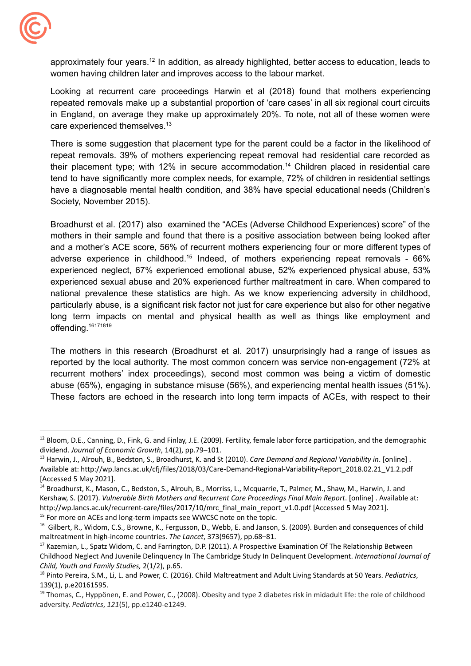

 women having children later and improves access to the labour market. approximately four years.<sup>12</sup> In addition, as already highlighted, better access to education, leads to

Looking at recurrent care proceedings Harwin et al (2018) found that mothers experiencing repeated removals make up a substantial proportion of 'care cases' in all six regional court circuits in England, on average they make up approximately 20%. To note, not all of these women were care experienced themselves.<sup>13</sup>

 Society, November 2015). There is some suggestion that placement type for the parent could be a factor in the likelihood of repeat removals. 39% of mothers experiencing repeat removal had residential care recorded as their placement type; with 12% in secure accommodation.<sup>14</sup> Children placed in residential care tend to have significantly more complex needs, for example, 72% of children in residential settings have a diagnosable mental health condition, and 38% have special educational needs (Children's

Broadhurst et al. (2017) also examined the "ACEs (Adverse Childhood Experiences) score" of the mothers in their sample and found that there is a positive association between being looked after and a mother's ACE score, 56% of recurrent mothers experiencing four or more different types of adverse experience in childhood.<sup>15</sup> Indeed, of mothers experiencing repeat removals - 66% experienced neglect, 67% experienced emotional abuse, 52% experienced physical abuse, 53% experienced sexual abuse and 20% experienced further maltreatment in care. When compared to national prevalence these statistics are high. As we know experiencing adversity in childhood, particularly abuse, is a significant risk factor not just for care experience but also for other negative long term impacts on mental and physical health as well as things like employment and offending.<sup>16171819</sup>

The mothers in this research (Broadhurst et al. 2017) unsurprisingly had a range of issues as reported by the local authority. The most common concern was service non-engagement (72% at recurrent mothers' index proceedings), second most common was being a victim of domestic abuse (65%), engaging in substance misuse (56%), and experiencing mental health issues (51%). These factors are echoed in the research into long term impacts of ACEs, with respect to their

<sup>&</sup>lt;sup>12</sup> Bloom, D.E., Canning, D., Fink, G. and Finlay, J.E. (2009). Fertility, female labor force participation, and the demographic  dividend. *Journal of Economic Growth*, 14(2), pp.79–101.

 <sup>13</sup> Harwin, J., Alrouh, B., Bedston, S., Broadhurst, K. and St (2010). *Care Demand and Regional Variability in*. [online] . Available at: [http://wp.lancs.ac.uk/cfj/files/2018/03/Care-Demand-Regional-Variability-Report\\_2018.02.21\\_V1.2.pdf](http://wp.lancs.ac.uk/cfj/files/2018/03/Care-Demand-Regional-Variability-Report_2018.02.21_V1.2.pdf) [Accessed 5 May 2021].

<sup>&</sup>lt;sup>15</sup> For more on ACEs and long-term impacts see WWCSC note on the topic. <sup>14</sup> Broadhurst, K., Mason, C., Bedston, S., Alrouh, B., Morriss, L., Mcquarrie, T., Palmer, M., Shaw, M., Harwin, J. and Kershaw, S. (2017). *Vulnerable Birth Mothers and Recurrent Care Proceedings Final Main Report*. [online] . Available at: [http://wp.lancs.ac.uk/recurrent-care/files/2017/10/mrc\\_final\\_main\\_report\\_v1.0.pdf](http://wp.lancs.ac.uk/recurrent-care/files/2017/10/mrc_final_main_report_v1.0.pdf) [Accessed 5 May 2021].

<sup>&</sup>lt;sup>16</sup> Gilbert, R., Widom, C.S., Browne, K., Fergusson, D., Webb, E. and Janson, S. (2009). Burden and consequences of child maltreatment in high-income countries. *The Lancet*, 373(9657), pp.68–81.

<sup>&</sup>lt;sup>17</sup> Kazemian, L., Spatz Widom, C. and Farrington, D.P. (2011). A Prospective Examination Of The Relationship Between Childhood Neglect And Juvenile Delinquency In The Cambridge Study In Delinquent Development. *International Journal of Child, Youth and Family Studies,* 2(1/2), p.65.

 <sup>18</sup> Pinto Pereira, S.M., Li, L. and Power, C. (2016). Child Maltreatment and Adult Living Standards at 50 Years. *Pediatrics*, 139(1), p.e20161595.

<sup>&</sup>lt;sup>19</sup> Thomas, C., Hyppönen, E. and Power, C., (2008). Obesity and type 2 diabetes risk in midadult life: the role of childhood adversity. *Pediatrics*, *121*(5), pp.e1240-e1249.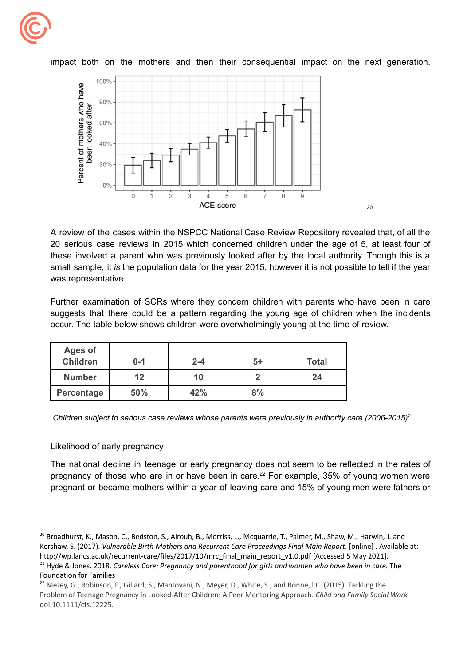

100% Percent of mothers who have<br>been looked after 80% 60% 40%  $20%$  $0%$  $\frac{1}{2}$  $\frac{1}{3}$  $\frac{1}{5}$  $\dot{6}$  $\dot{8}$  $\frac{1}{4}$ ACE score

impact both on the mothers and then their consequential impact on the next generation.

A review of the cases within the NSPCC National Case Review Repository revealed that, of all the 20 serious case reviews in 2015 which concerned children under the age of 5, at least four of these involved a parent who was previously looked after by the local authority. Though this is a small sample, it *is* the population data for the year 2015, however it is not possible to tell if the year was representative.

 $20$ 

 occur. The table below shows children were overwhelmingly young at the time of review. Further examination of SCRs where they concern children with parents who have been in care suggests that there could be a pattern regarding the young age of children when the incidents

| <b>Ages of</b><br>Children | $0 - 1$ | $2 - 4$ | $5+$ | <b>Total</b> |
|----------------------------|---------|---------|------|--------------|
| <b>Number</b>              | 12      | 10      |      | 24           |
| Percentage                 | 50%     | 42%     | 8%   |              |

 *Children subject to serious case reviews whose parents were previously in authority care (2006-2015)21*

#### Likelihood of early pregnancy

The national decline in teenage or early pregnancy does not seem to be reflected in the rates of pregnancy of those who are in or have been in care.<sup>22</sup> For example, 35% of young women were pregnant or became mothers within a year of leaving care and 15% of young men were fathers or

<sup>&</sup>lt;sup>20</sup> Broadhurst, K., Mason, C., Bedston, S., Alrouh, B., Morriss, L., Mcquarrie, T., Palmer, M., Shaw, M., Harwin, J. and Kershaw, S. (2017). *Vulnerable Birth Mothers and Recurrent Care Proceedings Final Main Report*. [online] . Available at: [http://wp.lancs.ac.uk/recurrent-care/files/2017/10/mrc\\_final\\_main\\_report\\_v1.0.pdf](http://wp.lancs.ac.uk/recurrent-care/files/2017/10/mrc_final_main_report_v1.0.pdf) [Accessed 5 May 2021].

 <sup>21</sup> Hyde & Jones. 2018. *Careless Care: Pregnancy and parenthood for girls and women who have been in care.* The Foundation for Families

<sup>&</sup>lt;sup>22</sup> Mezey, G., Robinson, F., Gillard, S., Mantovani, N., Meyer, D., White, S., and Bonne, I C. (2015). Tackling the Problem of Teenage Pregnancy in Looked-After Children: A Peer Mentoring Approach. *Child and Family Social Work* doi:10.1111/cfs.12225.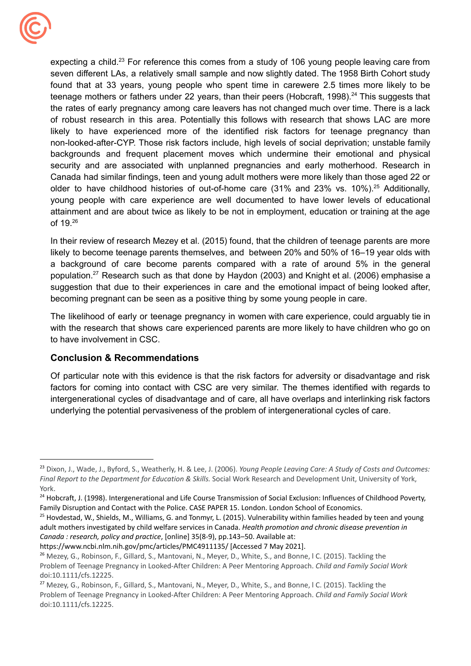

expecting a child.<sup>23</sup> For reference this comes from a study of 106 young people leaving care from seven different LAs, a relatively small sample and now slightly dated. The 1958 Birth Cohort study found that at 33 years, young people who spent time in carewere 2.5 times more likely to be teenage mothers or fathers under 22 years, than their peers (Hobcraft, 1998).<sup>24</sup> This suggests that the rates of early pregnancy among care leavers has not changed much over time. There is a lack of robust research in this area. Potentially this follows with research that shows LAC are more likely to have experienced more of the identified risk factors for teenage pregnancy than non-looked-after-CYP. Those risk factors include, high levels of social deprivation; unstable family backgrounds and frequent placement moves which undermine their emotional and physical security and are associated with unplanned pregnancies and early motherhood. Research in Canada had similar findings, teen and young adult mothers were more likely than those aged 22 or older to have childhood histories of out-of-home care  $(31\%$  and  $23\%$  vs.  $10\%$ ).<sup>25</sup> Additionally, young people with care experience are well documented to have lower levels of educational attainment and are about twice as likely to be not in employment, education or training at the age of 19.26

 becoming pregnant can be seen as a positive thing by some young people in care. In their review of research Mezey et al. (2015) found, that the children of teenage parents are more likely to become teenage parents themselves, and between 20% and 50% of 16–19 year olds with a background of care become parents compared with a rate of around 5% in the general [population.27](https://population.27) Research such as that done by Haydon (2003) and Knight et al. (2006) emphasise a suggestion that due to their experiences in care and the emotional impact of being looked after,

 to have involvement in CSC. The likelihood of early or teenage pregnancy in women with care experience, could arguably tie in with the research that shows care experienced parents are more likely to have children who go on

## **Conclusion & Recommendations**

 underlying the potential pervasiveness of the problem of intergenerational cycles of care. Of particular note with this evidence is that the risk factors for adversity or disadvantage and risk factors for coming into contact with CSC are very similar. The themes identified with regards to intergenerational cycles of disadvantage and of care, all have overlaps and interlinking risk factors

 <sup>23</sup> Dixon, J., Wade, J., Byford, S., Weatherly, H. & Lee, J. (2006). *Young People Leaving Care: A Study of Costs and Outcomes: Final Report to the Department for Education & Skills.* Social Work Research and Development Unit, University of York, York.

<sup>&</sup>lt;sup>24</sup> Hobcraft, J. (1998). Intergenerational and Life Course Transmission of Social Exclusion: Influences of Childhood Poverty, Family Disruption and Contact with the Police. CASE PAPER 15. London. London School of Economics.

<sup>&</sup>lt;sup>25</sup> Hovdestad, W., Shields, M., Williams, G. and Tonmyr, L. (2015). Vulnerability within families headed by teen and young adult mothers investigated by child welfare services in Canada. *Health promotion and chronic disease prevention in Canada : research, policy and practice*, [online] 35(8-9), pp.143–50. Available at:

 [https://www.ncbi.nlm.nih.gov/pmc/articles/PMC4911135/](https://www.ncbi.nlm.nih.gov/pmc/articles/PMC4911135) [Accessed 7 May 2021].

<sup>&</sup>lt;sup>26</sup> Mezey, G., Robinson, F., Gillard, S., Mantovani, N., Meyer, D., White, S., and Bonne, I C. (2015). Tackling the Problem of Teenage Pregnancy in Looked-After Children: A Peer Mentoring Approach. *Child and Family Social Work* doi:10.1111/cfs.12225.

<sup>&</sup>lt;sup>27</sup> Mezey, G., Robinson, F., Gillard, S., Mantovani, N., Meyer, D., White, S., and Bonne, I C. (2015). Tackling the Problem of Teenage Pregnancy in Looked-After Children: A Peer Mentoring Approach. *Child and Family Social Work* doi:10.1111/cfs.12225.